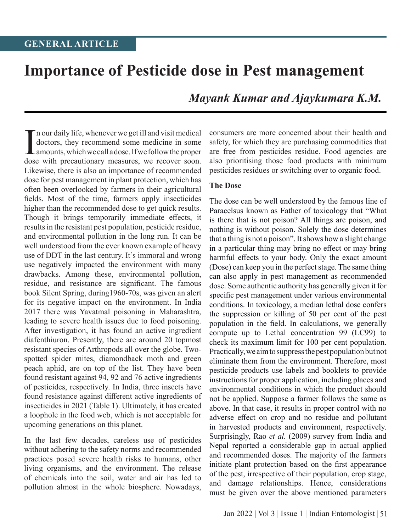# **Importance of Pesticide dose in Pest management**

*Mayank Kumar and Ajaykumara K.M.*

In our daily life, whenever we get ill and visit medical<br>doctors, they recommend some medicine in some<br>amounts, which we call a dose. If we follow the proper<br>dose with precautionary measures, we recover soon. n our daily life, whenever we get ill and visit medical doctors, they recommend some medicine in some amounts, which we call a dose. If we follow the proper Likewise, there is also an importance of recommended dose for pest management in plant protection, which has often been overlooked by farmers in their agricultural fields. Most of the time, farmers apply insecticides higher than the recommended dose to get quick results. Though it brings temporarily immediate effects, it results in the resistant pest population, pesticide residue, and environmental pollution in the long run. It can be well understood from the ever known example of heavy use of DDT in the last century. It's immoral and wrong use negatively impacted the environment with many drawbacks. Among these, environmental pollution, residue, and resistance are significant. The famous book Silent Spring, during1960-70s, was given an alert for its negative impact on the environment. In India 2017 there was Yavatmal poisoning in Maharashtra, leading to severe health issues due to food poisoning. After investigation, it has found an active ingredient diafenthiuron. Presently, there are around 20 topmost resistant species of Arthropods all over the globe. Twospotted spider mites, diamondback moth and green peach aphid, are on top of the list. They have been found resistant against 94, 92 and 76 active ingredients of pesticides, respectively. In India, three insects have found resistance against different active ingredients of insecticides in 2021 (Table 1). Ultimately, it has created a loophole in the food web, which is not acceptable for upcoming generations on this planet.

In the last few decades, careless use of pesticides without adhering to the safety norms and recommended practices posed severe health risks to humans, other living organisms, and the environment. The release of chemicals into the soil, water and air has led to pollution almost in the whole biosphere. Nowadays,

consumers are more concerned about their health and safety, for which they are purchasing commodities that are free from pesticides residue. Food agencies are also prioritising those food products with minimum pesticides residues or switching over to organic food.

#### **The Dose**

The dose can be well understood by the famous line of Paracelsus known as Father of toxicology that "What is there that is not poison? All things are poison, and nothing is without poison. Solely the dose determines that a thing is not a poison". It shows how a slight change in a particular thing may bring no effect or may bring harmful effects to your body. Only the exact amount (Dose) can keep you in the perfect stage. The same thing can also apply in pest management as recommended dose. Some authentic authority has generally given it for specific pest management under various environmental conditions. In toxicology, a median lethal dose confers the suppression or killing of 50 per cent of the pest population in the field. In calculations, we generally compute up to Lethal concentration 99 (LC99) to check its maximum limit for 100 per cent population. Practically, we aim to suppress the pest population but not eliminate them from the environment. Therefore, most pesticide products use labels and booklets to provide instructions for proper application, including places and environmental conditions in which the product should not be applied. Suppose a farmer follows the same as above. In that case, it results in proper control with no adverse effect on crop and no residue and pollutant in harvested products and environment, respectively. Surprisingly, Rao *et al.* (2009) survey from India and Nepal reported a considerable gap in actual applied and recommended doses. The majority of the farmers initiate plant protection based on the first appearance of the pest, irrespective of their population, crop stage, and damage relationships. Hence, considerations must be given over the above mentioned parameters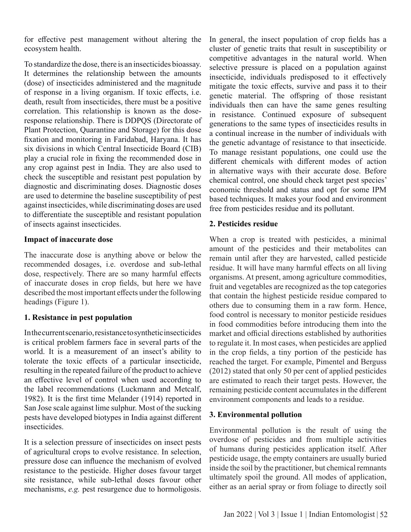for effective pest management without altering the ecosystem health.

To standardize the dose, there is an insecticides bioassay. It determines the relationship between the amounts (dose) of insecticides administered and the magnitude of response in a living organism. If toxic effects, i.e. death, result from insecticides, there must be a positive correlation. This relationship is known as the doseresponse relationship. There is DDPQS (Directorate of Plant Protection, Quarantine and Storage) for this dose fixation and monitoring in Faridabad, Haryana. It has six divisions in which Central Insecticide Board (CIB) play a crucial role in fixing the recommended dose in any crop against pest in India. They are also used to check the susceptible and resistant pest population by diagnostic and discriminating doses. Diagnostic doses are used to determine the baseline susceptibility of pest against insecticides, while discriminating doses are used to differentiate the susceptible and resistant population of insects against insecticides.

# **Impact of inaccurate dose**

The inaccurate dose is anything above or below the recommended dosages, i.e. overdose and sub-lethal dose, respectively. There are so many harmful effects of inaccurate doses in crop fields, but here we have described the most important effects under the following headings (Figure 1).

# **1. Resistance in pest population**

In the current scenario, resistance to synthetic insecticides is critical problem farmers face in several parts of the world. It is a measurement of an insect's ability to tolerate the toxic effects of a particular insecticide, resulting in the repeated failure of the product to achieve an effective level of control when used according to the label recommendations (Luckmann and Metcalf, 1982). It is the first time Melander (1914) reported in San Jose scale against lime sulphur. Most of the sucking pests have developed biotypes in India against different insecticides.

It is a selection pressure of insecticides on insect pests of agricultural crops to evolve resistance. In selection, pressure dose can influence the mechanism of evolved resistance to the pesticide. Higher doses favour target site resistance, while sub-lethal doses favour other mechanisms, *e.g.* pest resurgence due to hormoligosis. In general, the insect population of crop fields has a cluster of genetic traits that result in susceptibility or competitive advantages in the natural world. When selective pressure is placed on a population against insecticide, individuals predisposed to it effectively mitigate the toxic effects, survive and pass it to their genetic material. The offspring of those resistant individuals then can have the same genes resulting in resistance. Continued exposure of subsequent generations to the same types of insecticides results in a continual increase in the number of individuals with the genetic advantage of resistance to that insecticide. To manage resistant populations, one could use the different chemicals with different modes of action in alternative ways with their accurate dose. Before chemical control, one should check target pest species' economic threshold and status and opt for some IPM based techniques. It makes your food and environment free from pesticides residue and its pollutant.

# **2. Pesticides residue**

When a crop is treated with pesticides, a minimal amount of the pesticides and their metabolites can remain until after they are harvested, called pesticide residue. It will have many harmful effects on all living organisms. At present, among agriculture commodities, fruit and vegetables are recognized as the top categories that contain the highest pesticide residue compared to others due to consuming them in a raw form. Hence, food control is necessary to monitor pesticide residues in food commodities before introducing them into the market and official directions established by authorities to regulate it. In most cases, when pesticides are applied in the crop fields, a tiny portion of the pesticide has reached the target. For example, Pimentel and Berguss (2012) stated that only 50 per cent of applied pesticides are estimated to reach their target pests. However, the remaining pesticide content accumulates in the different environment components and leads to a residue.

# **3. Environmental pollution**

Environmental pollution is the result of using the overdose of pesticides and from multiple activities of humans during pesticides application itself. After pesticide usage, the empty containers are usually buried inside the soil by the practitioner, but chemical remnants ultimately spoil the ground. All modes of application, either as an aerial spray or from foliage to directly soil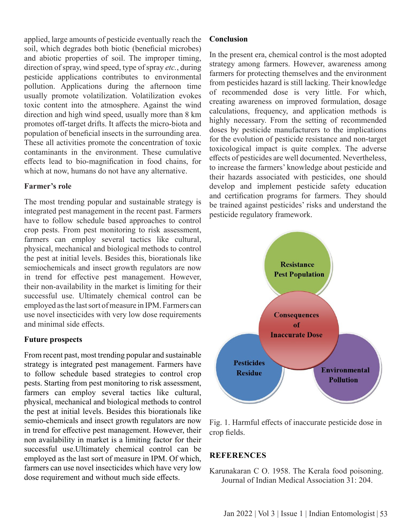applied, large amounts of pesticide eventually reach the soil, which degrades both biotic (beneficial microbes) and abiotic properties of soil. The improper timing, direction of spray, wind speed, type of spray *etc.*, during pesticide applications contributes to environmental pollution. Applications during the afternoon time usually promote volatilization. Volatilization evokes toxic content into the atmosphere. Against the wind direction and high wind speed, usually more than 8 km promotes off-target drifts. It affects the micro-biota and population of beneficial insects in the surrounding area. These all activities promote the concentration of toxic contaminants in the environment. These cumulative effects lead to bio-magnification in food chains, for which at now, humans do not have any alternative.

# **Farmer's role**

The most trending popular and sustainable strategy is integrated pest management in the recent past. Farmers have to follow schedule based approaches to control crop pests. From pest monitoring to risk assessment, farmers can employ several tactics like cultural, physical, mechanical and biological methods to control the pest at initial levels. Besides this, biorationals like semiochemicals and insect growth regulators are now in trend for effective pest management. However, their non-availability in the market is limiting for their successful use. Ultimately chemical control can be employed as the last sort of measure in IPM. Farmers can use novel insecticides with very low dose requirements and minimal side effects.

# **Future prospects**

From recent past, most trending popular and sustainable strategy is integrated pest management. Farmers have to follow schedule based strategies to control crop pests. Starting from pest monitoring to risk assessment, farmers can employ several tactics like cultural, physical, mechanical and biological methods to control the pest at initial levels. Besides this biorationals like semio-chemicals and insect growth regulators are now in trend for effective pest management. However, their non availability in market is a limiting factor for their successful use.Ultimately chemical control can be employed as the last sort of measure in IPM. Of which, farmers can use novel insecticides which have very low dose requirement and without much side effects.

# **Conclusion**

In the present era, chemical control is the most adopted strategy among farmers. However, awareness among farmers for protecting themselves and the environment from pesticides hazard is still lacking. Their knowledge of recommended dose is very little. For which, creating awareness on improved formulation, dosage calculations, frequency, and application methods is highly necessary. From the setting of recommended doses by pesticide manufacturers to the implications for the evolution of pesticide resistance and non-target toxicological impact is quite complex. The adverse effects of pesticides are well documented. Nevertheless, to increase the farmers' knowledge about pesticide and their hazards associated with pesticides, one should develop and implement pesticide safety education and certification programs for farmers. They should be trained against pesticides' risks and understand the pesticide regulatory framework.



Fig. 1. Harmful effects of inaccurate pesticide dose in crop fields.

# **References**

Karunakaran C O. 1958. The Kerala food poisoning. Journal of Indian Medical Association 31: 204.